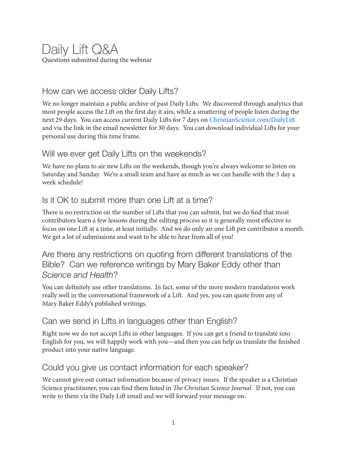# Daily Lift Q&A Questions submitted during the webinar

### How can we access older Daily Lifts?

We no longer maintain a public archive of past Daily Lifts. We discovered through analytics that most people access the Lift on the first day it airs, while a smattering of people listen during the next 29 days. You can access current Daily Lifts for 7 days on ChristianScience.com/DailyLift and via the link in the email newsletter for 30 days. You can download individual Lifts for your personal use during this time frame.

#### Will we ever get Daily Lifts on the weekends?

We have no plans to air new Lifts on the weekends, though you're always welcome to listen on Saturday and Sunday. We're a small team and have as much as we can handle with the 5 day a week schedule!

### Is it OK to submit more than one Lift at a time?

There is no restriction on the number of Lifts that you can submit, but we do find that most contributors learn a few lessons during the editing process so it is generally most effective to focus on one Lift at a time, at least initially. And we do only air one Lift per contributor a month. We get a lot of submissions and want to be able to hear from all of you!

Are there any restrictions on quoting from different translations of the Bible? Can we reference writings by Mary Baker Eddy other than *Science and Health*?

You can definitely use other translations. In fact, some of the more modern translations work really well in the conversational framework of a Lift. And yes, you can quote from any of Mary Baker Eddy's published writings.

## Can we send in Lifts in languages other than English?

Right now we do not accept Lifts in other languages. If you can get a friend to translate into English for you, we will happily work with you—and then you can help us translate the finished product into your native language.

## Could you give us contact information for each speaker?

We cannot give out contact information because of privacy issues. If the speaker is a Christian Science practitioner, you can find them listed in *The Christian Science Journal*. If not, you can write to them via the Daily Lift email and we will forward your message on.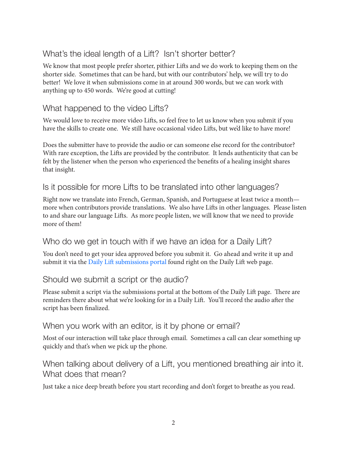# What's the ideal length of a Lift? Isn't shorter better?

We know that most people prefer shorter, pithier Lifts and we do work to keeping them on the shorter side. Sometimes that can be hard, but with our contributors' help, we will try to do better! We love it when submissions come in at around 300 words, but we can work with anything up to 450 words. We're good at cutting!

# What happened to the video Lifts?

We would love to receive more video Lifts, so feel free to let us know when you submit if you have the skills to create one. We still have occasional video Lifts, but we'd like to have more!

Does the submitter have to provide the audio or can someone else record for the contributor? With rare exception, the Lifts are provided by the contributor. It lends authenticity that can be felt by the listener when the person who experienced the benefits of a healing insight shares that insight.

### Is it possible for more Lifts to be translated into other languages?

Right now we translate into French, German, Spanish, and Portuguese at least twice a month more when contributors provide translations. We also have Lifts in other languages. Please listen to and share our language Lifts. As more people listen, we will know that we need to provide more of them!

#### Who do we get in touch with if we have an idea for a Daily Lift?

You don't need to get your idea approved before you submit it. Go ahead and write it up and submit it via the Daily Lift submissions portal found right on the Daily Lift web page.

#### Should we submit a script or the audio?

Please submit a script via the submissions portal at the bottom of the Daily Lift page. There are reminders there about what we're looking for in a Daily Lift. You'll record the audio after the script has been finalized.

#### When you work with an editor, is it by phone or email?

Most of our interaction will take place through email. Sometimes a call can clear something up quickly and that's when we pick up the phone.

# When talking about delivery of a Lift, you mentioned breathing air into it. What does that mean?

Just take a nice deep breath before you start recording and don't forget to breathe as you read.